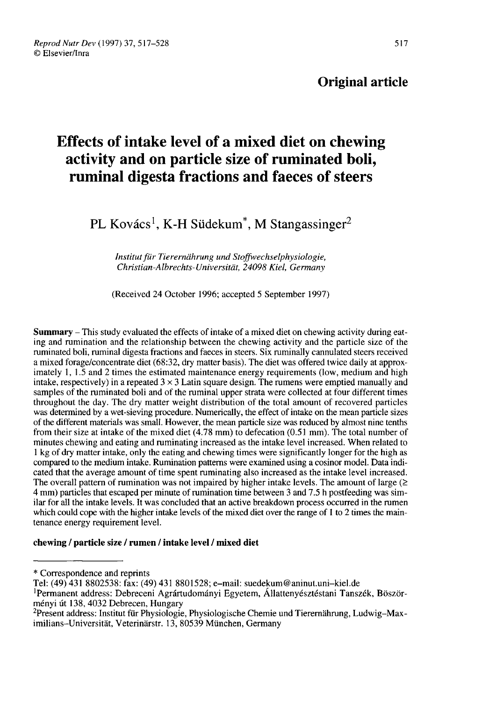# Original article

# Effects of intake level of a mixed diet on chewing activity and on particle size of ruminated boli, ruminal digesta fractions and faeces of steers re est of intake level of a mixed diet on chornel wity and on particle size of ruminated lained and faces of standard digesta fractions and faces of standard PL Kovács<sup>1</sup>, K-H Südekum<sup>\*</sup>, M Stangassinger<sup>2</sup>

Institut für Tierernährung und Stoffwechselphysiologie, Christian-Albrechts-Universität, 24098 Kiel, Germany

(Received 24 October 1996; accepted 5 September 1997)

Summary - This study evaluated the effects of intake of a mixed diet on chewing activity during eating and rumination and the relationship between the chewing activity and the particle size of the ruminated boli, ruminal digesta fractions and faeces in steers. Six ruminally cannulated steers received a mixed forage/concentrate diet (68:32, dry matter basis). The diet was offered twice daily at approximately 1, 1.5 and 2 times the estimated maintenance energy requirements (low, medium and high intake, respectively) in a repeated  $3 \times 3$  Latin square design. The rumens were emptied manually and samples of the ruminated boli and of the ruminal upper strata were collected at four different times throughout the day. The dry matter weight distribution of the total amount of recovered particles was determined by a wet-sieving procedure. Numerically, the effect of intake on the mean particle sizes of the different materials was small. However, the mean particle size was reduced by almost nine tenths from their size at intake of the mixed diet (4.78 mm) to defecation (0.51 mm). The total number of minutes chewing and eating and ruminating increased as the intake level increased. When related to 1 kg of dry matter intake, only the eating and chewing times were significantly longer for the high as compared to the medium intake. Rumination patterns were examined using a cosinor model. Data indicated that the average amount of time spent ruminating also increased as the intake level increased. The overall pattern of rumination was not impaired by higher intake levels. The amount of large  $(\geq$ 4 mm) particles that escaped per minute of rumination time between 3 and 7.5 h postfeeding was similar for all the intake levels. It was concluded that an active breakdown process occurred in the rumen which could cope with the higher intake levels of the mixed diet over the range of 1 to 2 times the maintenance energy requirement level.

# chewing / particle size / rumen / intake level / mixed diet

<sup>\*</sup> Correspondence and reprints

Tel: (49) 431 8802538: fax: (49) 431 8801528; e-mail: suedekum@aninut.uni-kiel.de

<sup>&</sup>lt;sup>1</sup>Permanent address: Debreceni Agrártudományi Egyetem, Állattenyésztéstani Tanszék, Böszörményi dt 138, 4032 Debrecen, Hungary Tel: (49) 431 8802538: fax: (49) 431 8801528; e-mail: suedekum@aninut.uni-kiel.de<br><sup>1</sup>Permanent address: Debreceni Agrártudományi Egyetem, Állattenyésztéstani Tanszék, Böször-<br>ményi út 138, 4032 Debrecen, Hungary<br><sup>2</sup>Present

imilians-Universität, Veterinärstr. 13, 80539 München, Germany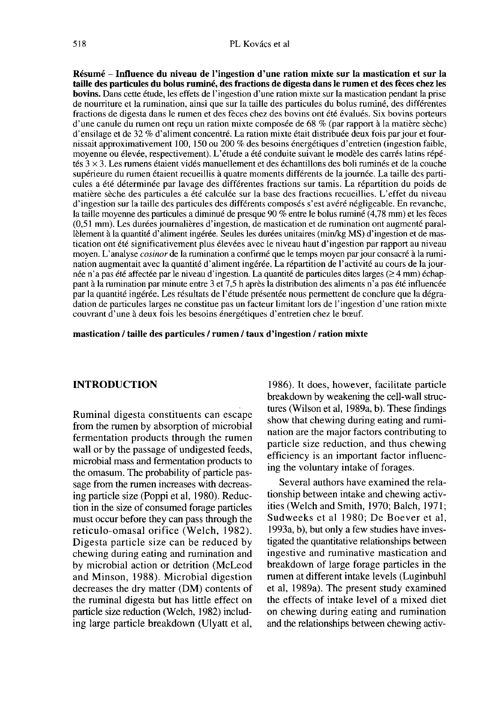Résumé - Influence du niveau de l'ingestion d'une ration mixte sur la mastication et sur la taille des particules du bolus ruminé, des fractions de digesta dans le rumen et des fèces chez les bovins. Dans cette étude, les effets de l'ingestion d'une ration mixte sur la mastication pendant la prise de nourriture et la rumination, ainsi que sur la taille des particules du bolus ruminé, des différentes fractions de digesta dans le rumen et des fèces chez des bovins ont été évalués. Six bovins porteurs d'une canule du rumen ont reçu un ration mixte composée de 68 % (par rapport à la matière sèche) d'ensilage et de 32 % d'aliment concentré. La ration mixte était distribuée deux fois par jour et fournissait approximativement 100, 150 ou 200 % des besoins énergétiques d'entretien (ingestion faible, moyenne ou élevée, respectivement). L'étude a été conduite suivant le modèle des carrés latins répétés  $3 \times 3$ . Les rumens étaient vidés manuellement et des échantillons des boli ruminés et de la couche supérieure du rumen étaient recueillis à quatre moments différents de la journée. La taille des particules a été déterminée par lavage des différentes fractions sur tamis. La répartition du poids de matière sèche des particules a été calculée sur la base des fractions recueillies. L'effet du niveau d'ingestion sur la taille des particules des différents composés s'est avéré négligeable. En revanche, la taille moyenne des particules a diminué de presque 90 % entre le bolus ruminé (4,78 mm) et les fèces (0,51 mm). Les durées journalières d'ingestion, de mastication et de rumination ont augmenté parallèlement à la quantité d'aliment ingérée. Seules les durées unitaires (min/kg MS) d'ingestion et de mastication ont été significativement plus élevées avec le niveau haut d'ingestion par rapport au niveau moyen. L'analyse cosinor de la rumination a confirmé que le temps moyen par jour consacré à la rumination augmentait avec la quantité d'aliment ingérée. La répartition de l'activité au cours de la journée n'a pas été affectée par le niveau d'ingestion. La quantité de particules dites larges ( $\geq 4$  mm) échappant à la rumination par minute entre 3 et 7,5 h après la distribution des aliments n'a pas été influencée par la quantité ingérée. Les résultats de l'étude présentée nous permettent de conclure que la dégradation de particules larges ne constitue pas un facteur limitant lors de l'ingestion d'une ration mixte couvrant d'une à deux fois les besoins énergétiques d'entretien chez le boeuf.

#### mastication / taille des particules / rumen / taux d'ingestion / ration mixte

### INTRODUCTION

Ruminal digesta constituents can escape from the rumen by absorption of microbial fermentation products through the rumen wall or by the passage of undigested feeds, microbial mass and fermentation products to the omasum. The probability of particle passage from the rumen increases with decreasing particle size (Poppi et al, 1980). Reduction in the size of consumed forage particles must occur before they can pass through the reticulo-omasal orifice (Welch, 1982). Digesta particle size can be reduced by chewing during eating and rumination and by microbial action or detrition (McLeod and Minson, 1988). Microbial digestion decreases the dry matter (DM) contents of the ruminal digesta but has little effect on particle size reduction (Welch, 1982) including large particle breakdown (Ulyatt et al,

1986). It does, however, facilitate particle breakdown by weakening the cell-wall structures (Wilson et al, 1989a, b). These findings show that chewing during eating and rumination are the major factors contributing to particle size reduction, and thus chewing efficiency is an important factor influencing the voluntary intake of forages.

Several authors have examined the relationship between intake and chewing activities (Welch and Smith, 1970; Balch, 1971; Sudweeks et al 1980; De Boever et al, 1993a, b), but only a few studies have investigated the quantitative relationships between ingestive and ruminative mastication and breakdown of large forage particles in the rumen at different intake levels (Luginbuhl et al, 1989a). The present study examined the effects of intake level of a mixed diet on chewing during eating and rumination and the relationships between chewing activ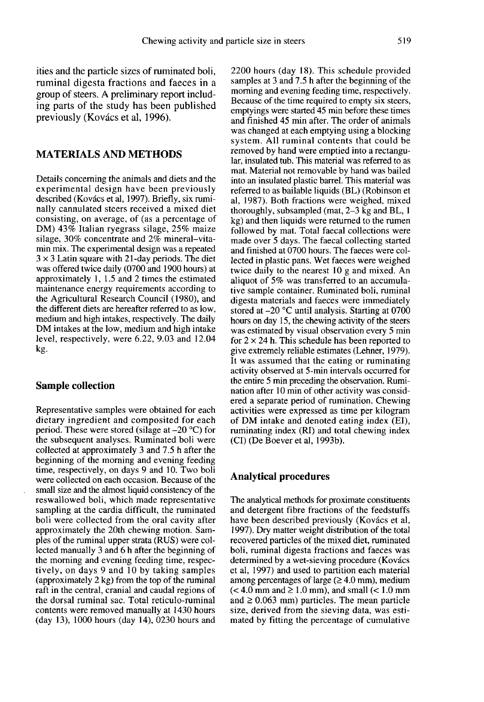ities and the particle sizes of ruminated boli, ruminal digesta fractions and faeces in a group of steers. A preliminary report including parts of the study has been published previously (Kovdcs et al, 1996).

# MATERIALS AND METHODS

Details concerning the animals and diets and the experimental design have been previously described (Kovács et al, 1997). Briefly, six ruminally cannulated steers received a mixed diet consisting, on average, of (as a percentage of DM) 43% Italian ryegrass silage, 25% maize silage, 30% concentrate and 2% mineral-vitamin mix. The experimental design was a repeated  $3 \times 3$  Latin square with 21-day periods. The diet was offered twice daily (0700 and 1900 hours) at approximately 1, 1.5 and 2 times the estimated maintenance energy requirements according to the Agricultural Research Council (1980), and the different diets are hereafter referred to as low, medium and high intakes, respectively. The daily DM intakes at the low, medium and high intake level, respectively, were 6.22, 9.03 and 12.04 kg.

#### Sample collection

Representative samples were obtained for each dietary ingredient and composited for each period. These were stored (silage at  $-20$  °C) for the subsequent analyses. Ruminated boli were collected at approximately 3 and 7.5 h after the beginning of the morning and evening feeding time, respectively, on days 9 and 10. Two boli were collected on each occasion. Because of the small size and the almost liquid consistency of the reswallowed boli, which made representative sampling at the cardia difficult, the ruminated boli were collected from the oral cavity after approximately the 20th chewing motion. Samples of the ruminal upper strata (RUS) were collected manually 3 and 6 h after the beginning of the morning and evening feeding time, respectively, on days 9 and 10 by taking samples (approximately 2 kg) from the top of the ruminal raft in the central, cranial and caudal regions of the dorsal ruminal sac. Total reticulo-ruminal contents were removed manually at 1430 hours (day 13), 1000 hours (day 14), 0230 hours and

2200 hours (day 18). This schedule provided samples at 3 and 7.5 h after the beginning of the morning and evening feeding time, respectively. Because of the time required to empty six steers, emptyings were started 45 min before these times and finished 45 min after. The order of animals was changed at each emptying using a blocking system. All ruminal contents that could be removed by hand were emptied into a rectangular, insulated tub. This material was referred to as mat. Material not removable by hand was bailed into an insulated plastic barrel. This material was referred to as bailable liquids (BL) (Robinson et al, 1987). Both fractions were weighed, mixed thoroughly, subsampled (mat, 2-3 kg and BL, I kg) and then liquids were returned to the rumen followed by mat. Total faecal collections were made over 5 days. The faecal collecting started and finished at 0700 hours. The faeces were collected in plastic pans. Wet faeces were weighed twice daily to the nearest 10 g and mixed. An aliquot of 5% was transferred to an accumulative sample container. Ruminated boli, ruminal digesta materials and faeces were immediately stored at  $-20$  °C until analysis. Starting at 0700 hours on day 15, the chewing activity of the steers was estimated by visual observation every 5 min for  $2 \times 24$  h. This schedule has been reported to give extremely reliable estimates (Lehner, 1979). It was assumed that the eating or ruminating activity observed at 5-min intervals occurred for the entire 5 min preceding the observation. Rumination after 10 min of other activity was considered a separate period of rumination. Chewing activities were expressed as time per kilogram of DM intake and denoted eating index (EI), ruminating index (RI) and total chewing index (CI) (De Boever et al, 1993b).

#### Analytical procedures

The analytical methods for proximate constituents and detergent fibre fractions of the feedstuffs have been described previously (Kovács et al, 1997). Dry matter weight distribution of the total recovered particles of the mixed diet, ruminated boli, ruminal digesta fractions and faeces was determined by a wet-sieving procedure (Kovács et al, 1997) and used to partition each material among percentages of large  $(\geq 4.0 \text{ mm})$ , medium  $(< 4.0$  mm and  $\geq 1.0$  mm), and small  $(< 1.0$  mm and  $\geq 0.063$  mm) particles. The mean particle size, derived from the sieving data, was estimated by fitting the percentage of cumulative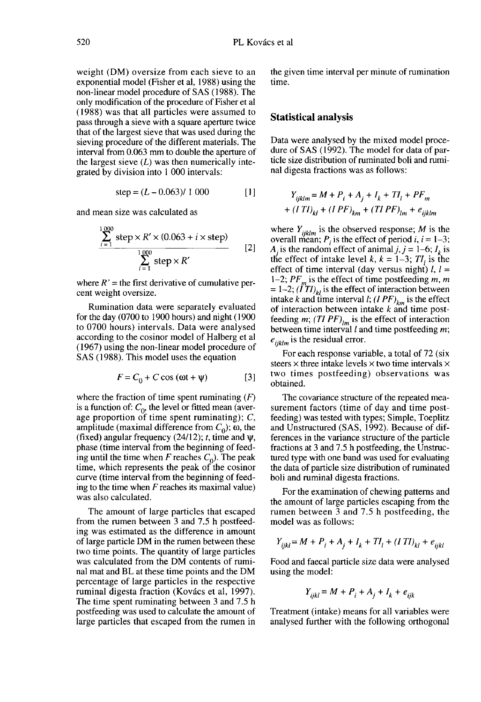weight (DM) oversize from each sieve to an exponential model (Fisher et al, 1988) using the non-linear model procedure of SAS (1988). The only modification of the procedure of Fisher et al (1988) was that all particles were assumed to pass through a sieve with a square aperture twice that of the largest sieve that was used during the sieving procedure of the different materials. The interval from 0.063 mm to double the aperture of the largest sieve  $(L)$  was then numerically integrated by division into 1 000 intervals:

$$
step = (L - 0.063) / 1000
$$
 [1]

and mean size was calculated as

$$
\frac{\sum_{i=1}^{1000} \text{step} \times R' \times (0.063 + i \times \text{step})}{\sum_{i=1}^{1000} \text{step} \times R'}
$$
 [2]

where  $R'$  = the first derivative of cumulative percent weight oversize.

Rumination data were separately evaluated for the day (0700 to 1900 hours) and night ( 1900 to 0700 hours) intervals. Data were analysed according to the cosinor model of Halberg et al (1967) using the non-linear model procedure of SAS (1988). This model uses the equation

$$
F = C_0 + C \cos{(\omega t + \psi)}
$$
 [3]

where the fraction of time spent ruminating  $(F)$ is a function of:  $C_0$ , the level or fitted mean (average proportion of time spent ruminating);  $C$ , amplitude (maximal difference from  $C_0$ );  $\omega$ , the (fixed) angular frequency (24/12); t, time and  $\psi$ , phase (time interval from the beginning of feeding until the time when F reaches  $C_0$ ). The peak time, which represents the peak of the cosinor curve (time interval from the beginning of feeding to the time when  $F$  reaches its maximal value) was also calculated.

The amount of large particles that escaped from the rumen between 3 and 7.5 h postfeeding was estimated as the difference in amount of large particle DM in the rumen between these two time points. The quantity of large particles was calculated from the DM contents of ruminal mat and BL at these time points and the DM percentage of large particles in the respective ruminal digesta fraction (Kovács et al, 1997). The time spent ruminating between 3 and 7.5 h postfeeding was used to calculate the amount of large particles that escaped from the rumen in the given time interval per minute of rumination time.

#### Statistical analysis

Data were analysed by the mixed model procedure of SAS (1992). The model for data of particle size distribution of ruminated boli and ruminal digesta fractions was as follows:

$$
Y_{ijklm} = M + P_i + A_j + I_k + TI_l + PF_m
$$
  
+  $(ITI)_{kl} + (IPF)_{km} + (TIPF)_{lm} + e_{iiklm}$ 

where  $Y_{iiklm}$  is the observed response; M is the overall mean;  $P_i$  is the effect of period *i*,  $i = 1-3$ ;  $A_i$  is the random effect of animal  $j, j = 1-6$ ;  $I_k$  is the effect of intake level  $k, k = 1-3$ ;  $TI_i$  is the effect of time interval (day versus night)  $l, l =$ 1–2;  $PF_m$  is the effect of time postfeeding m, m<br>= 1–2;  $(ITl)_k$  is the effect of interaction between<br>intake k and time interval  $l: (I P F)$  is the effect intake k and time interval  $l$ ;  $(IPF)_{km}$  is the effect of interaction between intake  $k$  and time postfeeding m;  $(TIPF)_{lm}$  is the effect of interaction between time interval  $l$  and time postfeeding  $m$ ;  $e_{iiklm}$  is the residual error.

For each response variable, a total of 72 (six steers  $\times$  three intake levels  $\times$  two time intervals  $\times$ two times postfeeding) observations was obtained.

The covariance structure of the repeated measurement factors (time of day and time postfeeding) was tested with types; Simple, Toeplitz and Unstructured (SAS, 1992). Because of differences in the variance structure of the particle fractions at 3 and 7.5 h postfeeding, the Unstructured type with one band was used for evaluating the data of particle size distribution of ruminated boli and ruminal digesta fractions.

For the examination of chewing patterns and the amount of large particles escaping from the rumen between 3 and 7.5 h postfeeding, the model was as follows:

$$
Y_{ijkl} = M + P_i + A_j + I_k + TI_l + (ITI)_{kl} + e_{ijkl}
$$

Food and faecal particle size data were analysed using the model:

$$
Y_{iikl} = M + P_i + A_i + I_k + e_{iik}
$$

Treatment (intake) means for all variables were analysed further with the following orthogonal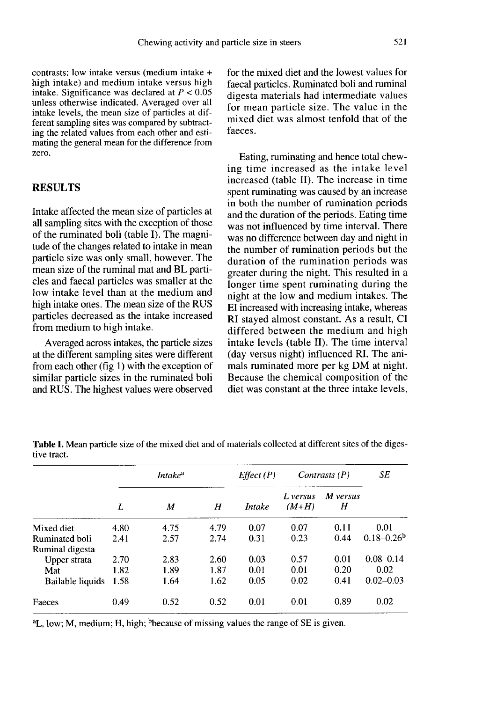contrasts: low intake versus (medium intake + high intake) and medium intake versus high intake. Significance was declared at  $P < 0.05$ unless otherwise indicated. Averaged over all intake levels, the mean size of particles at different sampling sites was compared by subtracting the related values from each other and estimating the general mean for the difference from zero.

## RESULTS

Intake affected the mean size of particles at all sampling sites with the exception of those of the ruminated boli (table I). The magnitude of the changes related to intake in mean particle size was only small, however. The mean size of the ruminal mat and BL particles and faecal particles was smaller at the low intake level than at the medium and high intake ones. The mean size of the RUS particles decreased as the intake increased from medium to high intake.

Averaged across intakes, the particle sizes at the different sampling sites were different from each other (fig  $1$ ) with the exception of similar particle sizes in the ruminated boli and RUS. The highest values were observed

for the mixed diet and the lowest values for faecal particles. Ruminated boli and ruminal digesta materials had intermediate values for mean particle size. The value in the mixed diet was almost tenfold that of the faeces.

Eating, ruminating and hence total chewing time increased as the intake level increased (table II). The increase in time spent ruminating was caused by an increase in both the number of rumination periods and the duration of the periods. Eating time was not influenced by time interval. There was no difference between day and night in the number of rumination periods but the duration of the rumination periods was greater during the night. This resulted in a longer time spent ruminating during the night at the low and medium intakes. The EI increased with increasing intake, whereas RI stayed almost constant. As a result, CI differed between the medium and high intake levels (table II). The time interval (day versus night) influenced RI. The animals ruminated more per kg DM at night. Because the chemical composition of the diet was constant at the three intake levels,

|                       |      | <i>Intake</i> <sup>a</sup> |      | Effect(P) |                     | Contrasts $(P)$ | SE                         |
|-----------------------|------|----------------------------|------|-----------|---------------------|-----------------|----------------------------|
|                       | L    | М                          | H    | Intake    | L versus<br>$(M+H)$ | M versus<br>Н   |                            |
| Mixed diet            | 4.80 | 4.75                       | 4.79 | 0.07      | 0.07                | 0.11            | 0.01                       |
| Ruminated boli        | 2.41 | 2.57                       | 2.74 | 0.31      | 0.23                | 0.44            | $0.18 - 0.26$ <sup>b</sup> |
| Ruminal digesta       |      |                            |      |           |                     |                 |                            |
| Upper strata          | 2.70 | 2.83                       | 2.60 | 0.03      | 0.57                | 0.01            | $0.08 - 0.14$              |
| Mat                   | 1.82 | 1.89                       | 1.87 | 0.01      | 0.01                | 0.20            | 0.02                       |
| Bailable liquids 1.58 |      | 1.64                       | 1.62 | 0.05      | 0.02                | 0.41            | $0.02 - 0.03$              |
| Faeces                | 0.49 | 0.52                       | 0.52 | 0.01      | 0.01                | 0.89            | 0.02                       |

Table I. Mean particle size of the mixed diet and of materials collected at different sites of the digestive tract.

<sup>a</sup>L, low; M, medium; H, high; <sup>b</sup>because of missing values the range of SE is given.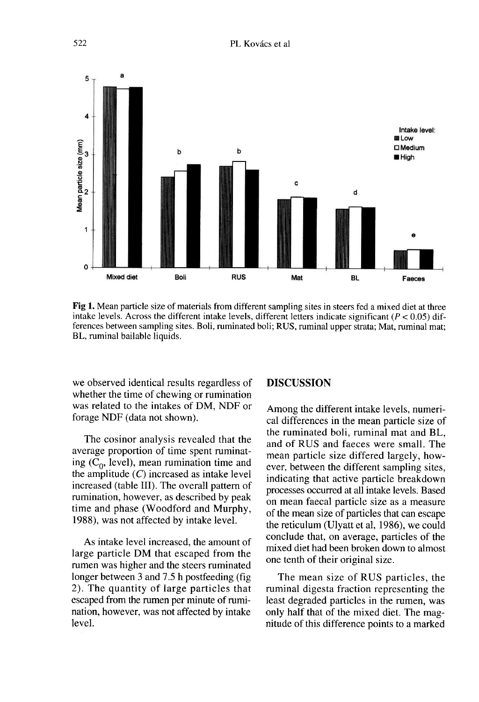

Fig 1. Mean particle size of materials from different sampling sites in steers fed a mixed diet at three intake levels. Across the different intake levels, different letters indicate significant ( $P < 0.05$ ) differences between sampling sites. Boli, ruminated boli; RUS, ruminal upper strata; Mat, ruminal mat; BL, ruminal bailable liquids.

we observed identical results regardless of whether the time of chewing or rumination was related to the intakes of DM, NDF or forage NDF (data not shown).

The cosinor analysis revealed that the average proportion of time spent ruminating  $(C_0, \text{level})$ , mean rumination time and the amplitude  $(C)$  increased as intake level increased (table III). The overall pattern of rumination, however, as described by peak time and phase (Woodford and Murphy, 1988), was not affected by intake level.

As intake level increased, the amount of large particle DM that escaped from the rumen was higher and the steers ruminated longer between 3 and 7.5 h postfeeding (fig 2). The quantity of large particles that escaped from the rumen per minute of rumination, however, was not affected by intake level.

#### DISCUSSION

Among the different intake levels, numerical differences in the mean particle size of the ruminated boli, ruminal mat and BL, and of RUS and faeces were small. The mean particle size differed largely, however, between the different sampling sites, indicating that active particle breakdown processes occurred at all intake levels. Based on mean faecal particle size as a measure of the mean size of particles that can escape the reticulum (Ulyatt et al, 1986), we could conclude that, on average, particles of the mixed diet had been broken down to almost one tenth of their original size.

The mean size of RUS particles, the ruminal digesta fraction representing the least degraded particles in the rumen, was only half that of the mixed diet. The magnitude of this difference points to a marked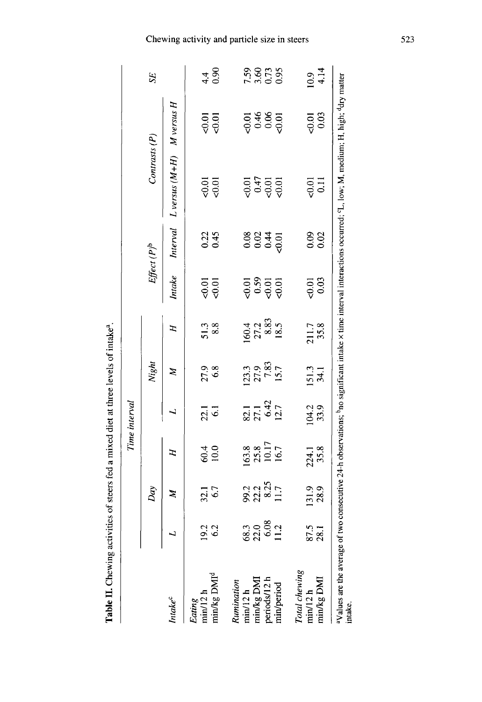| i                    |
|----------------------|
|                      |
|                      |
| $\ddot{\phantom{a}}$ |

|                                         |                              |                                |                                                               | Time interval          |                                             |                               |                                                  |                  |                                                                                                                                                                   |                     |                |
|-----------------------------------------|------------------------------|--------------------------------|---------------------------------------------------------------|------------------------|---------------------------------------------|-------------------------------|--------------------------------------------------|------------------|-------------------------------------------------------------------------------------------------------------------------------------------------------------------|---------------------|----------------|
|                                         |                              | Day                            |                                                               |                        | Night                                       |                               |                                                  | $Effect(P)^b$    | Contrasts (P)                                                                                                                                                     |                     | SE             |
| <i>Intake</i> <sup>c</sup>              |                              | Z                              | E                                                             |                        | Z                                           | F                             | Intake                                           | Interval         | $L$ versus $(M+H)$ M versus H                                                                                                                                     |                     |                |
| min/12 h<br>Eating                      | 19.2<br>6.2                  | $32.1$<br>$6.7$                | 60.4                                                          | $\frac{21}{61}$        | 27.9<br>6.8                                 | $\frac{51.3}{8.8}$            | 이<br>이<br>이                                      | $0.22$<br>0.45   | 리<br>오<br>이                                                                                                                                                       | គនុ<br>ទី១          | 4400           |
| min/kg DMI <sup>d</sup>                 |                              |                                |                                                               |                        |                                             |                               |                                                  |                  |                                                                                                                                                                   |                     |                |
| Rumination                              |                              |                                |                                                               |                        |                                             |                               |                                                  |                  |                                                                                                                                                                   |                     |                |
| $min/12 h$<br>$min/kg$ $DMI$            | 68.3<br>22.0<br>11.2<br>11.2 | 90.2<br>20.25<br>20.25<br>11.7 | $\begin{array}{c} 163.8 \\ 25.8 \\ 10.17 \\ 16.7 \end{array}$ | 21142<br>2142<br>21427 | $\frac{123.3}{27.9}$<br>$\frac{27.9}{7.83}$ | $60.4$<br>27.3<br>8.5<br>18.5 | ត្ត និ<br>ខ្ញុំ ខ្ញុំ ខ្ញុំ<br>ខ្ញុំ ខ្ញុំ ខ្ញុំ |                  |                                                                                                                                                                   |                     |                |
|                                         |                              |                                |                                                               |                        |                                             |                               |                                                  | $8845$<br>$8845$ | 00000000                                                                                                                                                          | 5385<br>5000        | 88658<br>8865  |
| periods/12 h<br>min/period              |                              |                                |                                                               |                        |                                             |                               |                                                  |                  |                                                                                                                                                                   |                     |                |
|                                         |                              |                                |                                                               |                        |                                             |                               |                                                  |                  |                                                                                                                                                                   |                     |                |
|                                         |                              |                                |                                                               |                        |                                             |                               |                                                  |                  |                                                                                                                                                                   |                     |                |
| Total chewing<br>min/12 h               | 87.5<br>28.1                 | 131.9<br>28.9                  | 224.1<br>35.8                                                 | 104.2<br>33.9          | 151.3<br>34.1                               | 211.7                         | $\frac{0.01}{0.03}$                              | 0.02             | $rac{1}{0.11}$                                                                                                                                                    | $\frac{0.01}{0.03}$ | $10.9$<br>4.14 |
| nin/kg DMI                              |                              |                                |                                                               |                        |                                             |                               |                                                  |                  |                                                                                                                                                                   |                     |                |
| aValues are the average of t<br>intake. |                              |                                |                                                               |                        |                                             |                               |                                                  |                  | two consecutive 24-h observations; <sup>b</sup> no significant intake x time interval interactions occurred; 'L, low; M, medium; H, high; <sup>d</sup> dry matter |                     |                |

# Chewing activity and particle size in steers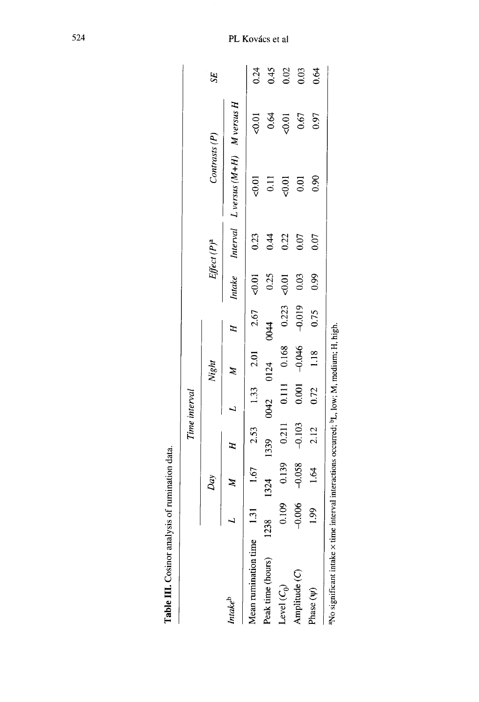|                                                                                                       |          |                            |            | Time interval |                         |                   |         |                         |                                                 |         |      |
|-------------------------------------------------------------------------------------------------------|----------|----------------------------|------------|---------------|-------------------------|-------------------|---------|-------------------------|-------------------------------------------------|---------|------|
|                                                                                                       |          | Day                        |            |               | Night                   |                   |         | Effect (P) <sup>a</sup> | Contrasts (P)                                   |         | 55   |
| Intake <sup>b</sup>                                                                                   |          | $\boldsymbol{\beta}$       | $\ddot{H}$ |               | $\mathbb{Z}$            | $\mathbf{H}$      |         |                         | Intake Interval $L$ versus $(M+H)$ M versus $H$ |         |      |
| Aean rumination time                                                                                  |          | 1.31 $1.67$ 2.53 1.33 2.01 |            |               |                         | $2.67$ <0.01      |         | 0.23                    | $-0.01$                                         | $-0.01$ | 0.24 |
| Peak time (hours)                                                                                     | 238      | 1324                       |            |               | 1339 0042 0124 0044     |                   | 0.25    | 0.44                    | 0.11                                            | 0.64    | 0.45 |
| Level $(C_0)$                                                                                         | 0.109    | 0.139                      |            |               | 0.211 0.111 0.168 0.223 |                   | $-0.01$ | 0.22                    | $-0.01$                                         | $-0.01$ | 0.02 |
| Amplitude (C)                                                                                         | $-0.006$ | $-0.058$                   | $-0.103$   | 0.001         |                         | $-0.046$ $-0.019$ | 0.03    | 0.07                    | 0.01                                            | 0.67    | 0.03 |
| hase (V)                                                                                              | 1.99     | 1.64                       | 2.12       | 0.72          | 1.18                    | 0.75              | 0.99    | 0.07                    | 0.90                                            | 0.97    | 0.64 |
| No significant intake x time interval interactions occurred; <sup>b</sup> L, low; M, medium; H, high. |          |                            |            |               |                         |                   |         |                         |                                                 |         |      |

Table III. Cosinor analysis of rumination data.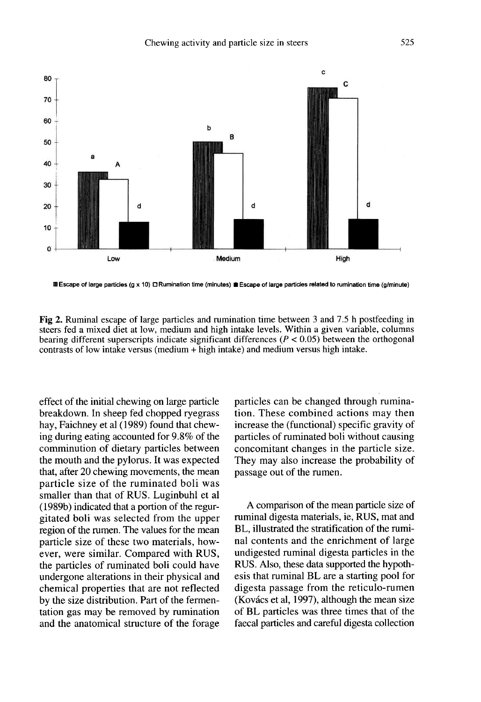

m Escape of large particles (g x 10) D Rumination time (minutes) in Escape of large particles related to rumination time (g/minute)

Fig 2. Ruminal escape of large particles and rumination time between 3 and 7.5 h postfeeding in steers fed a mixed diet at low, medium and high intake levels. Within a given variable, columns bearing different superscripts indicate significant differences ( $P < 0.05$ ) between the orthogonal contrasts of low intake versus (medium + high intake) and medium versus high intake.

effect of the initial chewing on large particle breakdown. In sheep fed chopped ryegrass hay, Faichney et al (1989) found that chewing during eating accounted for 9.8% of the comminution of dietary particles between the mouth and the pylorus. It was expected that, after 20 chewing movements, the mean particle size of the ruminated boli was smaller than that of RUS. Luginbuhl et al (1989b) indicated that a portion of the regurgitated boli was selected from the upper region of the rumen. The values for the mean particle size of these two materials, however, were similar. Compared with RUS, the particles of ruminated boli could have undergone alterations in their physical and chemical properties that are not reflected by the size distribution. Part of the fermentation gas may be removed by rumination and the anatomical structure of the forage particles can be changed through rumination. These combined actions may then increase the (functional) specific gravity of particles of ruminated boli without causing concomitant changes in the particle size. They may also increase the probability of passage out of the rumen.

A comparison of the mean particle size of ruminal digesta materials, ie, RUS, mat and BL, illustrated the stratification of the ruminal contents and the enrichment of large undigested ruminal digesta particles in the RUS. Also, these data supported the hypothesis that ruminal BL are a starting pool for digesta passage from the reticulo-rumen (Kovács et al, 1997), although the mean size of BL particles was three times that of the faecal particles and careful digesta collection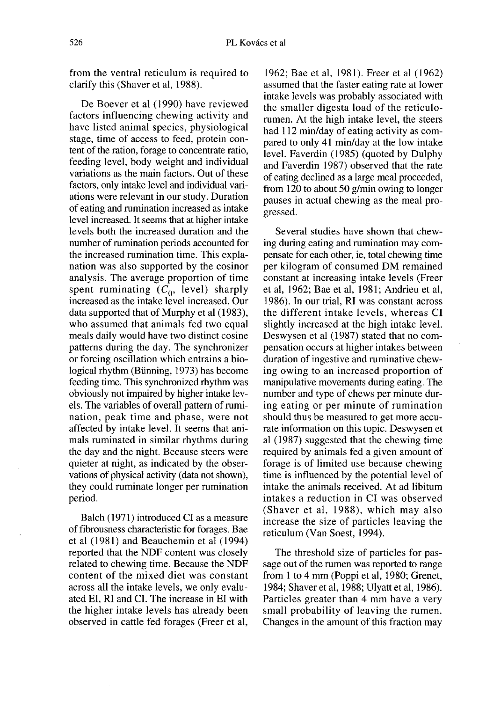from the ventral reticulum is required to clarify this (Shaver et al, 1988).

De Boever et al (1990) have reviewed factors influencing chewing activity and have listed animal species, physiological stage, time of access to feed, protein content of the ration, forage to concentrate ratio, feeding level, body weight and individual variations as the main factors. Out of these factors, only intake level and individual variations were relevant in our study. Duration of eating and rumination increased as intake level increased. It seems that at higher intake levels both the increased duration and the number of rumination periods accounted for the increased rumination time. This explanation was also supported by the cosinor analysis. The average proportion of time spent ruminating  $(C_0, \text{ level})$  sharply increased as the intake level increased. Our data supported that of Murphy et al (1983), who assumed that animals fed two equal meals daily would have two distinct cosine patterns during the day. The synchronizer or forcing oscillation which entrains a biological rhythm (Bünning, 1973) has become feeding time. This synchronized rhythm was obviously not impaired by higher intake levels. The variables of overall pattern of rumination, peak time and phase, were not affected by intake level. It seems that animals ruminated in similar rhythms during the day and the night. Because steers were quieter at night, as indicated by the observations of physical activity (data not shown), they could ruminate longer per rumination period.

Balch (1971) introduced CI as a measure of fibrousness characteristic for forages. Bae et al (1981) and Beauchemin et al (1994) reported that the NDF content was closely related to chewing time. Because the NDF content of the mixed diet was constant across all the intake levels, we only evaluated EI, RI and CI. The increase in EI with the higher intake levels has already been observed in cattle fed forages (Freer et al,

1962; Bae et al, 1981). Freer et al (1962) assumed that the faster eating rate at lower intake levels was probably associated with the smaller digesta load of the reticulorumen. At the high intake level, the steers had 112 min/day of eating activity as compared to only 41 min/day at the low intake level. Faverdin (1985) (quoted by Dulphy and Faverdin 1987) observed that the rate of eating declined as a large meal proceeded, from 120 to about 50 g/min owing to longer pauses in actual chewing as the meal progressed.

Several studies have shown that chewing during eating and rumination may compensate for each other, ie, total chewing time per kilogram of consumed DM remained constant at increasing intake levels (Freer et al, 1962; Bae et al, 1981; Andrieu et al, 1986). In our trial, RI was constant across the different intake levels, whereas CI slightly increased at the high intake level. Deswysen et al (1987) stated that no compensation occurs at higher intakes between duration of ingestive and ruminative chewing owing to an increased proportion of manipulative movements during eating. The number and type of chews per minute during eating or per minute of rumination should thus be measured to get more accurate information on this topic. Deswysen et al (1987) suggested that the chewing time required by animals fed a given amount of forage is of limited use because chewing time is influenced by the potential level of intake the animals received. At ad libitum intakes a reduction in CI was observed (Shaver et al, 1988), which may also increase the size of particles leaving the reticulum (Van Soest, 1994).

The threshold size of particles for passage out of the rumen was reported to range from 1 to 4 mm (Poppi et al, 1980; Grenet, 1984; Shaver et al, 1988; Ulyatt et al, 1986). Particles greater than 4 mm have a very small probability of leaving the rumen. Changes in the amount of this fraction may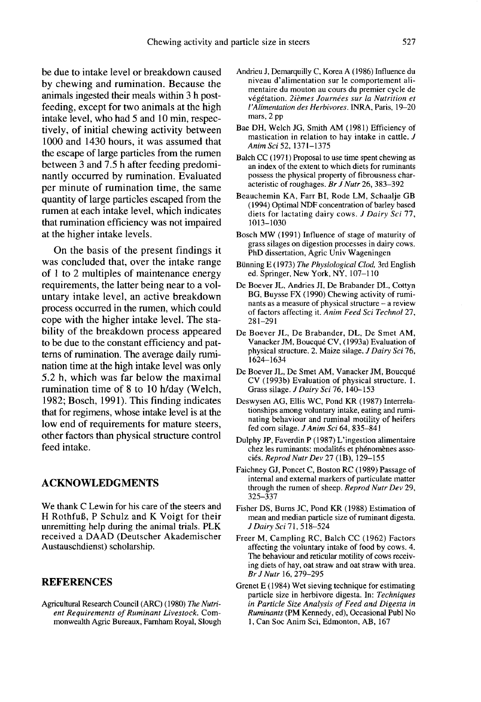be due to intake level or breakdown caused by chewing and rumination. Because the animals ingested their meals within 3 h postfeeding, except for two animals at the high intake level, who had 5 and 10 min, respectively, of initial chewing activity between 1000 and 1430 hours, it was assumed that the escape of large particles from the rumen between 3 and 7.5 h after feeding predominantly occurred by rumination. Evaluated per minute of rumination time, the same quantity of large particles escaped from the rumen at each intake level, which indicates that rumination efficiency was not impaired at the higher intake levels.

On the basis of the present findings it was concluded that, over the intake range of 1 to 2 multiples of maintenance energy requirements, the latter being near to a voluntary intake level, an active breakdown process occurred in the rumen, which could cope with the higher intake level. The stability of the breakdown process appeared to be due to the constant efficiency and pat terns of rumination. The average daily rumination time at the high intake level was only 5.2 h, which was far below the maximal rumination time of 8 to 10 h/day (Welch, 1982; Bosch, 1991). This finding indicates that for regimens, whose intake level is at the low end of requirements for mature steers, other factors than physical structure control feed intake.

# ACKNOWLEDGMENTS

We thank C Lewin for his care of the steers and H RothfuB, P Schulz and K Voigt for their unremitting help during the animal trials. PLK received a DAAD (Deutscher Akademischer Austauschdienst) scholarship.

# REFERENCES

Agricultural Research Council (ARC) (1980) The Nutrient Requirements of Ruminant Livestock. Commonwealth Agric Bureaux, Farnham Royal, Slough

- Andrieu J, Demarquilly C, Korea A ( 1986) Influence du niveau d'alimentation sur le comportement alimentaire du mouton au cours du premier cycle de végétation. 2ièmes Journées sur la Nutrition et L'Alimentation des Herbivores. INRA, Paris, 19-20 mars, 2 pp
- Bae DH, Welch JG, Smith AM (1981) Efficiency of mastication in relation to hay intake in cattle. J Anim Sci 52, 1371-1375
- Balch CC (1971) Proposal to use time spent chewing as an index of the extent to which diets for ruminants possess the physical property of fibrousness characteristic of roughages. Br J Nutr 26, 383-392
- Beauchemin KA, Farr BI, Rode LM, Schaalje GB (1994) Optimal NDF concentration of barley based diets for lactating dairy cows. J Dairy Sci 77, 1013-1030
- Bosch MW (1991) Influence of stage of maturity of grass silages on digestion processes in dairy cows. PhD dissertation, Agric Univ Wageningen
- Bunning E (1973) The Physiological Clod, 3rd English ed. Springer, New York, NY, 107-110
- De Boever JL, Andries JI, De Brabander DL, Cottyn BG, Buysse FX (1990) Chewing activity of ruminants as a measure of physical structure  $-$  a review of factors affecting it. Anim Feed Sci Technol 27, 281-291
- De Boever JL, De Brabander, DL, De Smet AM, Vanacker JM, Boucqué CV, (1993a) Evaluation of physical structure. 2. Maize silage. J Dairy Sci 76, 1624-1634
- De Boever JL, De Smet AM, Vanacker JM, Boucqu6 CV (1993b) Evaluation of physical structure. 1. Grass silage. J Dairy Sci 76, 140-153
- Deswysen AG, Ellis WC, Pond KR (1987) Interrelationships among voluntary intake, eating and ruminating behaviour and ruminal motility of heifers fed corn silage. J Anim Sci 64, 835-841
- Dulphy JP, Faverdin P (1987) L'ingestion alimentaire chez les ruminants: modalités et phénomènes associés. Reprod Nutr Dev 27 (1B), 129-155
- Faichney GJ, Poncet C, Boston RC (1989) Passage of internal and external markers of particulate matter through the rumen of sheep. Reprod Nutr Dev 29, 325-337
- Fisher DS, Burns JC, Pond KR (1988) Estimation of mean and median particle size of ruminant digesta. J Dairy Sci 71, 518-524
- Freer M, Campling RC, Balch CC (1962) Factors affecting the voluntary intake of food by cows. 4. The behaviour and reticular motility of cows receiving diets of hay, oat straw and oat straw with urea. Br J Nutr 16, 279-295
- Grenet E (1984) Wet sieving technique for estimating particle size in herbivore digesta. In: Techniques in Particle Size Analysis of Feed and Digesta in Ruminants (PM Kennedy, ed), Occasional Publ No 1, Can Soc Anim Sci, Edmonton, AB, 167